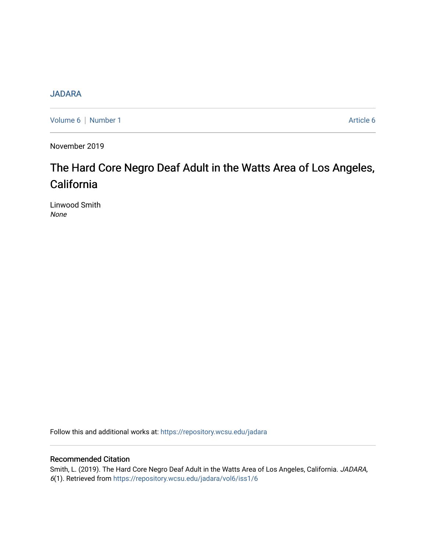# [JADARA](https://repository.wcsu.edu/jadara)

[Volume 6](https://repository.wcsu.edu/jadara/vol6) | [Number 1](https://repository.wcsu.edu/jadara/vol6/iss1) Article 6

November 2019

# The Hard Core Negro Deaf Adult in the Watts Area of Los Angeles, California

Linwood Smith None

Follow this and additional works at: [https://repository.wcsu.edu/jadara](https://repository.wcsu.edu/jadara?utm_source=repository.wcsu.edu%2Fjadara%2Fvol6%2Fiss1%2F6&utm_medium=PDF&utm_campaign=PDFCoverPages)

# Recommended Citation

Smith, L. (2019). The Hard Core Negro Deaf Adult in the Watts Area of Los Angeles, California. JADARA, 6(1). Retrieved from [https://repository.wcsu.edu/jadara/vol6/iss1/6](https://repository.wcsu.edu/jadara/vol6/iss1/6?utm_source=repository.wcsu.edu%2Fjadara%2Fvol6%2Fiss1%2F6&utm_medium=PDF&utm_campaign=PDFCoverPages)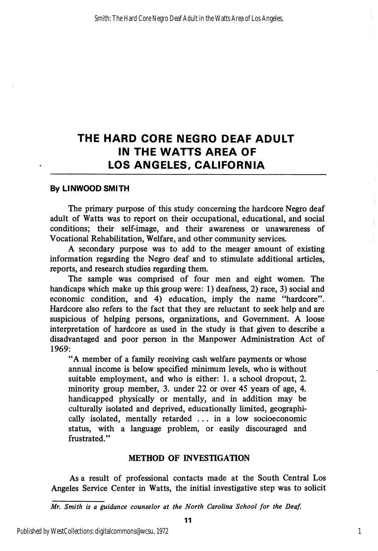# THE HARD CORE NEGRO DEAF ADULT IN THE WATTS AREA OF LOS ANGELES, CALIFORNIA

#### By LINWOOD SMITH

The primary purpose of this study concerning the hardcore Negro deaf adult of Watts was to report on their occupational, educational, and social conditions; their self-image, and their awareness or unawareness of Vocational Rehabilitation, Welfare, and other community services.

A secondary purpose was to add to the meager amount of existing information regarding the Negro deaf and to stimulate additional articles, reports, and research studies regarding them.

The sample was comprised of four men and eight women. The handicaps which make up this group were: 1) deafness, 2) race, 3) social and economic condition, and 4) education, imply the name "hardcore". Hardcore also refers to the fact that they are reluctant to seek help and are suspicious of helping persons, organizations, and Government. A loose interpretation of hardcore as used in the study is that given to describe a disadvantaged and poor person in the Manpower Administration Act of 1969:

"A member of a family receiving cash welfare payments or whose annual income is below specified minimum levels, who is without suitable employment, and who is either: 1. a school dropout, 2. minority group member, 3. imder 22 or over 45 years of age, 4. handicapped physically or mentally, and in addition may be culturally isolated and deprived, educationally limited, geographi cally isolated, mentally retarded ... in a low socioeconomic status, with a language problem, or easily discouraged and frustrated."

#### METHOD OF INVESTIGATION

As a result of professional contacts made at the South Central Los Angeles Service Center in Watts, the initial investigative step was to solicit

Mr. Smith is a guidance counselor at the North Carolina School for the Deaf.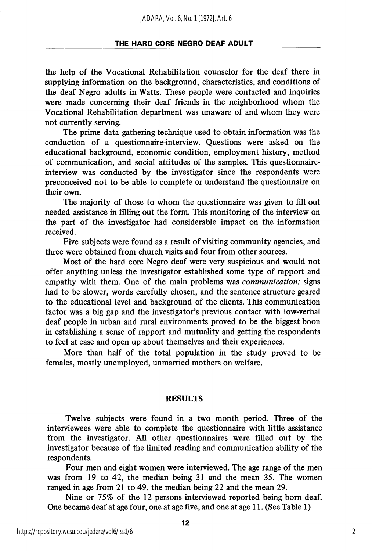the help of the Vocational Rehabilitation counselor for the deaf there in supplying information on the background, characteristics, and conditions of the deaf Negro adults in Watts. These people were contacted and inquiries were made concerning their deaf friends in the neighborhood whom the Vocational Rehabilitation department was unaware of and whom they were not currently serving.

The prime data gathering technique used to obtain information was the conduction of a questionnaire-interview. Questions were asked on the educational background, economic condition, employment history, method of communication, and social attitudes of the samples. This questionnaireinterview was conducted by the investigator since the respondents were preconceived not to be able to complete or understand the questionnaire on their own.

The majority of those to whom the questionnaire was given to fill out needed assistance in filling out the form. This monitoring of the interview on the part of the investigator had considerable impact on the information received.

Five subjects were found as a result of visiting community agencies, and three were obtained from church visits and four from other sources.

Most of the hard core Negro deaf were very suspicious and would not offer anything unless the investigator established some type of rapport and empathy with them. One of the main problems was *communication*; signs had to be slower, words carefully chosen, and the sentence structure geared to the educational level and background of the clients. This communication factor was a big gap and the investigator's previous contact with low-verbal deaf people in urban and rural environments proved to be the biggest boon in establishing a sense of rapport and mutuality and getting the respondents to feel at ease and open up about themselves and their experiences.

More than half of the total population in the study proved to be females, mostly unemployed, unmarried mothers on welfare.

#### RESULTS

Twelve subjects were found in a two month period. Three of the interviewees were able to complete the questionnaire with httle assistance from the investigator. All other questionnaires were filled out by the investigator because of the limited reading and communication ability of the respondents.

Four men and eight women were interviewed. The age range of the men was from 19 to 42, the median being 31 and the mean 35. The women ranged in age from 21 to 49, the median being 22 and the mean 29.

Nine or 75% of the 12 persons interviewed reported being born deaf. One became deaf at age four, one at age five, and one at age 11. (See Table 1)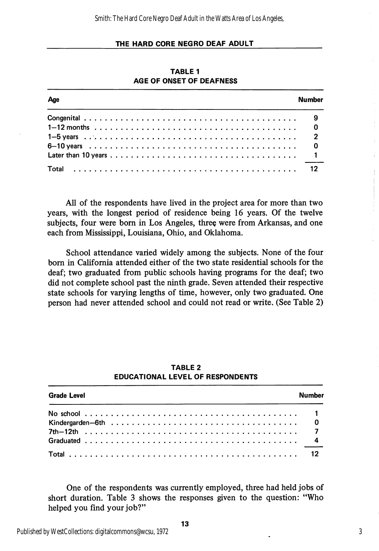| Age | <b>Number</b> |
|-----|---------------|
|     |               |
|     |               |
|     |               |
|     |               |
|     |               |
|     |               |

TABLE 1 AGE OF ONSET OF DEAFNESS

All of the respondents have lived in the project area for more than two years, with the longest period of residence being 16 years. Of the twelve subjects, four were born in Los Angeles, three were from Arkansas, and one each from Mississippi, Louisiana, Ohio, and Oklahoma.

School attendance varied widely among the subjects. None of the four born in California attended either of the two state residential schools for the deaf; two graduated from public schools having programs for the deaf; two did not complete school past the ninth grade. Seven attended their respective state schools for varying lengths of time, however, only two graduated. One person had never attended school and could not read or write. (See Table 2)

| <b>Grade Level</b><br><b>Number</b> |  |  |
|-------------------------------------|--|--|
|                                     |  |  |
|                                     |  |  |
|                                     |  |  |
|                                     |  |  |

#### TABLE 2 EDUCATIONAL LEVEL OF RESPONDENTS

One of the respondents was currently employed, three had held jobs of short duration. Table 3 shows the responses given to the question: "Who helped you find your job?"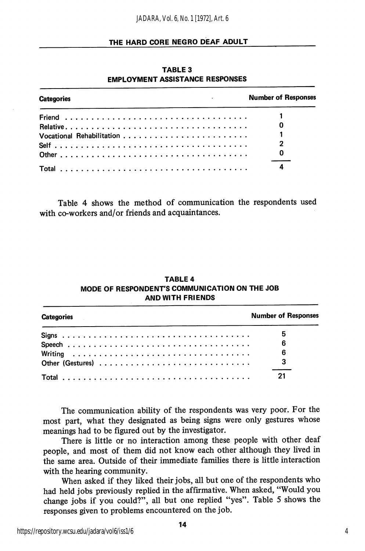| the contract of the contract of the contract of<br><b>Categories</b> | <b>Number of Responses</b> |
|----------------------------------------------------------------------|----------------------------|
|                                                                      |                            |
|                                                                      |                            |
|                                                                      |                            |
|                                                                      |                            |
|                                                                      | - 0                        |
|                                                                      |                            |

TABLE 3 EMPLOYMENT ASSISTANCE RESPONSES

Table 4 shows the method of communication the respondents used with co-workers and/or friends and acquaintances.

| <b>Categories</b> | <b>Number of Responses</b> |
|-------------------|----------------------------|
|                   | 5                          |
|                   | 6                          |
|                   | 6                          |
|                   |                            |
|                   | 21                         |

#### TABLE 4 MODE OF RESPONDENT'S COMMUNICATION ON THE JOB AND WITH FRIENDS

The communication abihty of the respondents was very poor. For the most part, what they designated as being signs were only gestures whose meanings had to be figured out by the investigator.

There is little or no interaction among these people with other deaf people, and most of them did not know each other although they lived in the same area. Outside of their immediate families there is little interaction with the hearing community.

When asked if they liked their jobs, all but one of the respondents who had held jobs previously replied in the affirmative. When asked, "Would you change jobs if you could?", all but one replied "yes". Table 5 shows the responses given to problems encountered on the job.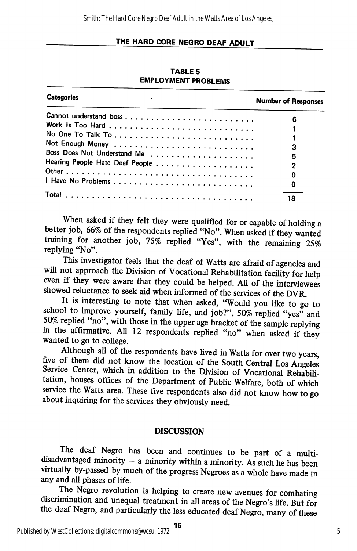TABLE 5 EMPLOYMENT PROBLEMS

| <b>Categories</b>           | <b>Number of Responses</b> |
|-----------------------------|----------------------------|
|                             | 6                          |
|                             |                            |
|                             |                            |
|                             |                            |
|                             | 3                          |
| Boss Does Not Understand Me | 5                          |
|                             | 2                          |
|                             | O                          |
|                             | 0                          |
|                             |                            |
|                             | 18                         |

When asked if they felt they were qualified for or capable of holding a better job, 66% of the respondents replied "No". When asked if they wanted training for another job, 75% replied "Yes", with the remaining 25% replying "No".

This investigator feels that the deaf of Watts are afraid of agencies and will not approach the Division of Vocational Rehabilitation facility for help even if they were aware that they could be helped. All of the interviewees showed reluctance to seek aid when informed of the services of the DVR.

It is interesting to note that when asked, "Would you like to go to school to improve yourself, family life, and job?", 50% replied "yes" and 50% replied "no", with those in the upper age bracket of the sample replying in the affirmative. All 12 respondents rephed "no" when asked if they wanted to go to college.

Although all of the respondents have lived in Watts for over two years, five of them did not know the location of the South Central Los Angeles Service Center, which in addition to the Division of Vocational Rehabilitation, houses offices of the Department of Public Welfare, both of which service the Watts area. These five respondents also did not know how to go about inquiring for the services they obviously need.

### DISCUSSION

The deaf Negro has been and continues to be part of a multidisadvantaged minority  $-$  a minority within a minority. As such he has been virtually by-passed by much of the progress Negroes as a whole have made in any and all phases of life.

The Negro revolution is helping to create new avenues for combating discrimination and unequal treatment in all areas of the Negro's life. But for the deaf Negro, and particularly the less educated deaf Negro, many of these

15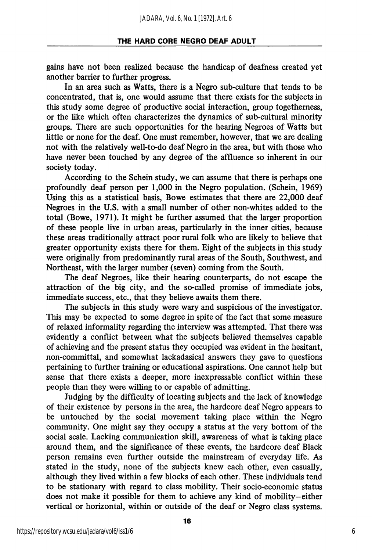gains have not been realized because the handicap of deafness created yet another barrier to further progress.

In an area such as Watts, there is a Negro sub-culture that tends to be concentrated, that is, one would assume that there exists for the subjects in this study some degree of productive social interaction, group togetherness, or the like which often characterizes the dynamics of sub-cultural minority groups. There are such opportunities for the hearing Negroes of Watts but little or none for the deaf. One must remember, however, that we are dealing not with the relatively well-to-do deaf Negro in the area, but with those who have never been touched by any degree of the affluence so inherent in our society today.

According to the Schein study, we can assume that there is perhaps one profoundly deaf person per 1,000 in the Negro population. (Schein, 1969) Using this as a statistical basis, Bowe estimates that there are 22,000 deaf Negroes in the U.S. with a small number of other non-whites added to the total (Bowe, 1971). It might be further assumed that the larger proportion of these people live in urban areas, particularly in the inner cities, because these areas traditionally attract poor rural folk who are likely to believe that greater opportunity exists there for them. Eight of the subjects in this study were originally from predominantly rural areas of the South, Southwest, and Northeast, with the larger number (seven) coming from the South.

The deaf Negroes, like their hearing counterparts, do not escape the attraction of the big city, and the so-called promise of immediate jobs, immediate success, etc., that they believe awaits them there.

The subjects in this study were wary and suspicious of the investigator. This may be expected to some degree in spite of the fact that some measure of relaxed informality regarding the interview was attempted. That there was evidently a conflict between what the subjects believed themselves capable of achieving and the present status they occupied was evident in the hesitant, non-committal, and somewhat lackadasical answers they gave to questions pertaining to further training or educational aspirations. One cannot help but sense that there exists a deeper, more inexpressable conflict within these people than they were willing to or capable of admitting.

Judging by the difficulty of locating subjects and the lack of knowledge of their existence by persons in the area, the hardcore deaf Negro appears to be untouched by the social movement taking place within the Negro community. One might say they occupy a status at the very bottom of the social scale. Lacking communication skill, awareness of what is taking place around them, and the significance of these events, the hardcore deaf Black person remains even further outside the mainstream of everyday life. As stated in the study, none of the subjects knew each other, even casually, although they lived within a few blocks of each other. These individuals tend to be stationary with regard to class mobility. Their socio-economic status does not make it possible for them to achieve any kind of mobility—either vertical or horizontal, within or outside of the deaf or Negro class systems.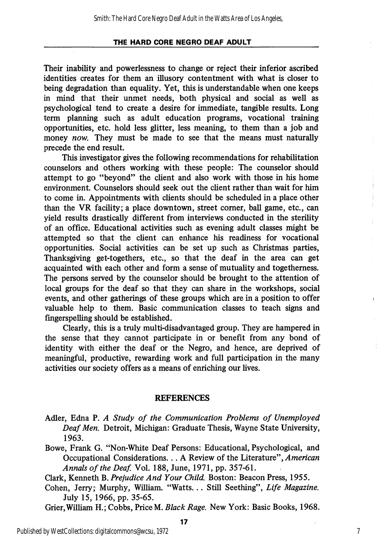Their inability and powerlessness to change or reject their inferior ascribed identities creates for them an illusory contentment with what is closer to being degradation than equality. Yet, this is vmderstandable when one keeps in mind that their unmet needs, both physical and social as well as psychological tend to create a desire for immediate, tangible results. Long term planning such as adult education programs, vocational training opportunities, etc. hold less glitter, less meaning, to them than a job and money now. They must be made to see that the means must naturally precede the end result.

This investigator gives the following recommendations for rehabilitation counselors and others working with these people: The counselor should attempt to go "beyond" the client and also work with those in his home environment. Counselors should seek out the client rather than wait for him to come in. Appointments with clients should be scheduled in a place other than the VR facility; a place downtown, street comer, ball game, etc., can yield results drastically different from interviews conducted in the sterility of an office. Educational activities such as evening adult classes might be attempted so that the client can enhance his readiness for vocational opportunities. Social activities can be set up such as Christmas parties. Thanksgiving get-togethers, etc., so that the deaf in the area can get acquainted with each other and form a sense of mutuahty and togethemess. The persons served by the counselor should be brought to the attention of local groups for the deaf so that they can share in the workshops, social events, and other gatherings of these groups which are in a position to offer valuable help to them. Basic communication classes to teach signs and fingerspelling should be established.

Clearly, this is a truly multi-disadvantaged group. They are hampered in the sense that they cannot participate in or benefit from any bond of identity with either the deaf or the Negro, and hence, are deprived of meaningful, productive, rewarding work and full participation in the many activities our society offers as a means of enriching our lives.

#### REFERENCES

- Adler, Edna P. A Study of the Communication Problems of Unemployed Deaf Men. Detroit, Michigan: Graduate Thesis, Wayne State University, 1963.
- Bowe, Frank G. "Non-White Deaf Persons: Educational, Psychological, and Occupational Considerations... A Review of the Literature", American Annals of the Deaf. Vol. 188, June, 1971, pp. 357-61.

Clark, Kenneth B. Prejudice And Your Child. Boston: Beacon Press, 1955.

- Cohen, Jerry; Murphy, William. "Watts... Still Seething", Life Magazine. July 15, 1966, pp. 35-65.
- Grier,Wilham H.; Cobbs, Price M. Black Rage. New York: Basic Books, 1968.

Ť